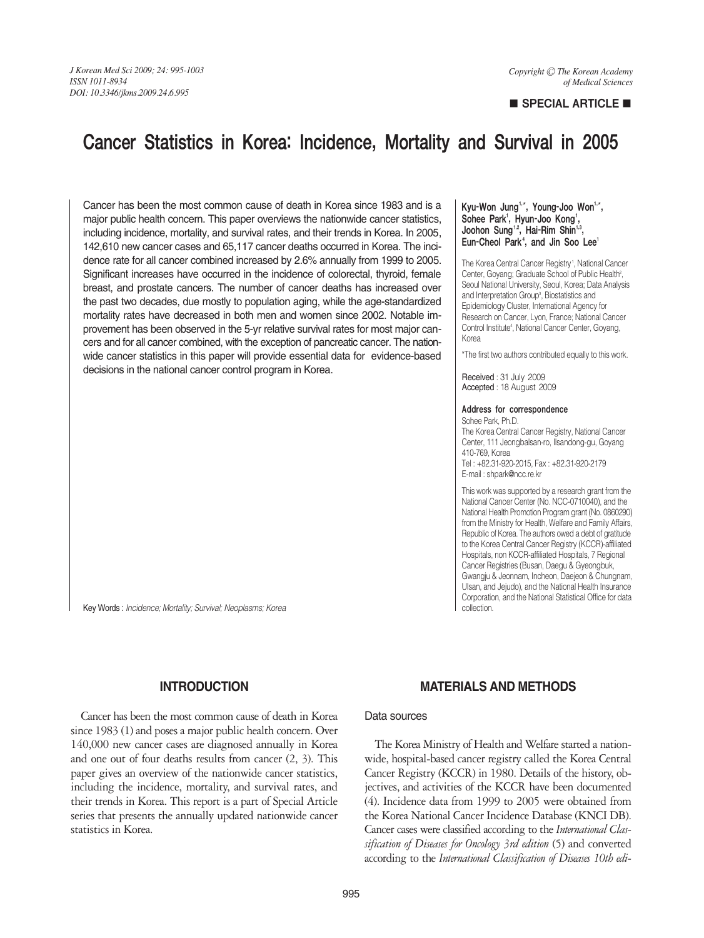# **B** SPECIAL ARTICLE

# Cancer Statistics in Korea: Incidence, Mortality and Survival in 2005

Cancer has been the most common cause of death in Korea since 1983 and is a major public health concern. This paper overviews the nationwide cancer statistics, including incidence, mortality, and survival rates, and their trends in Korea. In 2005, 142,610 new cancer cases and 65,117 cancer deaths occurred in Korea. The incidence rate for all cancer combined increased by 2.6% annually from 1999 to 2005. Significant increases have occurred in the incidence of colorectal, thyroid, female breast, and prostate cancers. The number of cancer deaths has increased over the past two decades, due mostly to population aging, while the age-standardized mortality rates have decreased in both men and women since 2002. Notable improvement has been observed in the 5-yr relative survival rates for most major cancers and for all cancer combined, with the exception of pancreatic cancer. The nationwide cancer statistics in this paper will provide essential data for evidence-based decisions in the national cancer control program in Korea.

#### Kyu-Won Jung<sup>1,\*</sup>, Young-Joo Won<sup>1,\*</sup>, Sohee Park', Hyun-Joo Kong', Joohon Sung<sup>1,2</sup>, Hai-Rim Shin<sup>1,3</sup> Eun-Cheol Park<sup>4</sup>, and Jin Soo Lee<sup>1</sup>

The Korea Central Cancer Registry<sup>1</sup>, National Cancer Center, Goyang; Graduate School of Public Health<sup>2</sup>, Seoul National University, Seoul, Korea; Data Analysis and Interpretation Group<sup>3</sup>, Biostatistics and Epidemiology Cluster, International Agency for Research on Cancer, Lyon, France; National Cancer Control Institute<sup>4</sup>, National Cancer Center, Goyang, Korea

\*The first two authors contributed equally to this work.

Received : 31 July 2009 Accepted : 18 August 2009

#### Address for correspondence

Sohee Park, Ph.D. The Korea Central Cancer Registry, National Cancer Center, 111 Jeongbalsan-ro, Ilsandong-gu, Goyang 410-769, Korea Tel : +82.31-920-2015, Fax : +82.31-920-2179

E-mail : shpark@ncc.re.kr

This work was supported by a research grant from the National Cancer Center (No. NCC-0710040), and the National Health Promotion Program grant (No. 0860290) from the Ministry for Health, Welfare and Family Affairs, Republic of Korea. The authors owed a debt of gratitude to the Korea Central Cancer Registry (KCCR)-affiliated Hospitals, non KCCR-affiliated Hospitals, 7 Regional Cancer Registries (Busan, Daegu & Gyeongbuk, Gwangju & Jeonnam, Incheon, Daejeon & Chungnam, Ulsan, and Jejudo), and the National Health Insurance Corporation, and the National Statistical Office for data collection.

Key Words : *Incidence; Mortality; Survival; Neoplasms; Korea*

# **INTRODUCTION**

Cancer has been the most common cause of death in Korea since 1983 (1) and poses a major public health concern. Over 140,000 new cancer cases are diagnosed annually in Korea and one out of four deaths results from cancer (2, 3). This paper gives an overview of the nationwide cancer statistics, including the incidence, mortality, and survival rates, and their trends in Korea. This report is a part of Special Article series that presents the annually updated nationwide cancer statistics in Korea.

# **MATERIALS AND METHODS**

### Data sources

The Korea Ministry of Health and Welfare started a nationwide, hospital-based cancer registry called the Korea Central Cancer Registry (KCCR) in 1980. Details of the history, objectives, and activities of the KCCR have been documented (4). Incidence data from 1999 to 2005 were obtained from the Korea National Cancer Incidence Database (KNCI DB). Cancer cases were classified according to the *International Classification of Diseases for Oncology 3rd edition* (5) and converted according to the *International Classification of Diseases 10th edi-*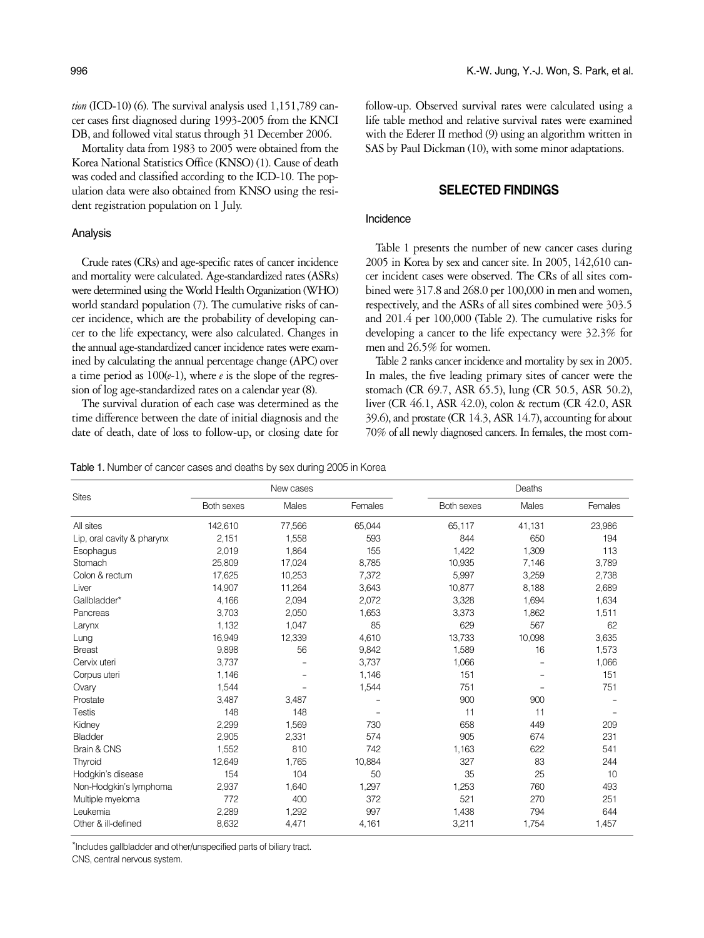*tion* (ICD-10) (6). The survival analysis used 1,151,789 cancer cases first diagnosed during 1993-2005 from the KNCI DB, and followed vital status through 31 December 2006.

Mortality data from 1983 to 2005 were obtained from the Korea National Statistics Office (KNSO) (1). Cause of death was coded and classified according to the ICD-10. The population data were also obtained from KNSO using the resident registration population on 1 July.

#### Analysis

Crude rates (CRs) and age-specific rates of cancer incidence and mortality were calculated. Age-standardized rates (ASRs) were determined using the World Health Organization (WHO) world standard population (7). The cumulative risks of cancer incidence, which are the probability of developing cancer to the life expectancy, were also calculated. Changes in the annual age-standardized cancer incidence rates were examined by calculating the annual percentage change (APC) over a time period as 100(*e*-1), where *e* is the slope of the regression of log age-standardized rates on a calendar year (8).

The survival duration of each case was determined as the time difference between the date of initial diagnosis and the date of death, date of loss to follow-up, or closing date for

follow-up. Observed survival rates were calculated using a life table method and relative survival rates were examined with the Ederer II method (9) using an algorithm written in SAS by Paul Dickman (10), with some minor adaptations.

### **SELECTED FINDINGS**

#### Incidence

Table 1 presents the number of new cancer cases during 2005 in Korea by sex and cancer site. In 2005, 142,610 cancer incident cases were observed. The CRs of all sites combined were 317.8 and 268.0 per 100,000 in men and women, respectively, and the ASRs of all sites combined were 303.5 and 201.4 per 100,000 (Table 2). The cumulative risks for developing a cancer to the life expectancy were 32.3% for men and 26.5% for women.

Table 2 ranks cancer incidence and mortality by sex in 2005. In males, the five leading primary sites of cancer were the stomach (CR 69.7, ASR 65.5), lung (CR 50.5, ASR 50.2), liver (CR 46.1, ASR 42.0), colon & rectum (CR 42.0, ASR 39.6), and prostate (CR 14.3, ASR 14.7), accounting for about 70% of all newly diagnosed cancers. In females, the most com-

Table 1. Number of cancer cases and deaths by sex during 2005 in Korea

| <b>Sites</b>               |            | New cases |         | Deaths     |        |         |  |  |  |
|----------------------------|------------|-----------|---------|------------|--------|---------|--|--|--|
|                            | Both sexes | Males     | Females | Both sexes | Males  | Females |  |  |  |
| All sites                  | 142,610    | 77,566    | 65,044  | 65,117     | 41,131 | 23,986  |  |  |  |
| Lip, oral cavity & pharynx | 2,151      | 1,558     | 593     | 844        | 650    | 194     |  |  |  |
| Esophagus                  | 2,019      | 1,864     | 155     | 1.422      | 1,309  | 113     |  |  |  |
| Stomach                    | 25,809     | 17,024    | 8,785   | 10,935     | 7,146  | 3,789   |  |  |  |
| Colon & rectum             | 17,625     | 10,253    | 7,372   | 5,997      | 3,259  | 2,738   |  |  |  |
| Liver                      | 14,907     | 11,264    | 3,643   | 10.877     | 8,188  | 2,689   |  |  |  |
| Gallbladder*               | 4,166      | 2,094     | 2,072   | 3,328      | 1,694  | 1,634   |  |  |  |
| Pancreas                   | 3,703      | 2,050     | 1,653   | 3,373      | 1,862  | 1,511   |  |  |  |
| Larynx                     | 1,132      | 1,047     | 85      | 629        | 567    | 62      |  |  |  |
| Lung                       | 16,949     | 12,339    | 4,610   | 13,733     | 10,098 | 3,635   |  |  |  |
| <b>Breast</b>              | 9,898      | 56        | 9,842   | 1,589      | 16     | 1,573   |  |  |  |
| Cervix uteri               | 3,737      |           | 3,737   | 1,066      |        | 1,066   |  |  |  |
| Corpus uteri               | 1,146      |           | 1,146   | 151        |        | 151     |  |  |  |
| Ovary                      | 1,544      |           | 1,544   | 751        |        | 751     |  |  |  |
| Prostate                   | 3,487      | 3,487     |         | 900        | 900    |         |  |  |  |
| <b>Testis</b>              | 148        | 148       |         | 11         | 11     |         |  |  |  |
| Kidney                     | 2,299      | 1,569     | 730     | 658        | 449    | 209     |  |  |  |
| Bladder                    | 2,905      | 2,331     | 574     | 905        | 674    | 231     |  |  |  |
| Brain & CNS                | 1,552      | 810       | 742     | 1,163      | 622    | 541     |  |  |  |
| Thyroid                    | 12,649     | 1,765     | 10,884  | 327        | 83     | 244     |  |  |  |
| Hodgkin's disease          | 154        | 104       | 50      | 35         | 25     | 10      |  |  |  |
| Non-Hodgkin's lymphoma     | 2,937      | 1,640     | 1,297   | 1,253      | 760    | 493     |  |  |  |
| Multiple myeloma           | 772        | 400       | 372     | 521        | 270    | 251     |  |  |  |
| Leukemia                   | 2,289      | 1,292     | 997     | 1,438      | 794    | 644     |  |  |  |
| Other & ill-defined        | 8,632      | 4,471     | 4,161   | 3,211      | 1,754  | 1,457   |  |  |  |

\*Includes gallbladder and other/unspecified parts of biliary tract.

CNS, central nervous system.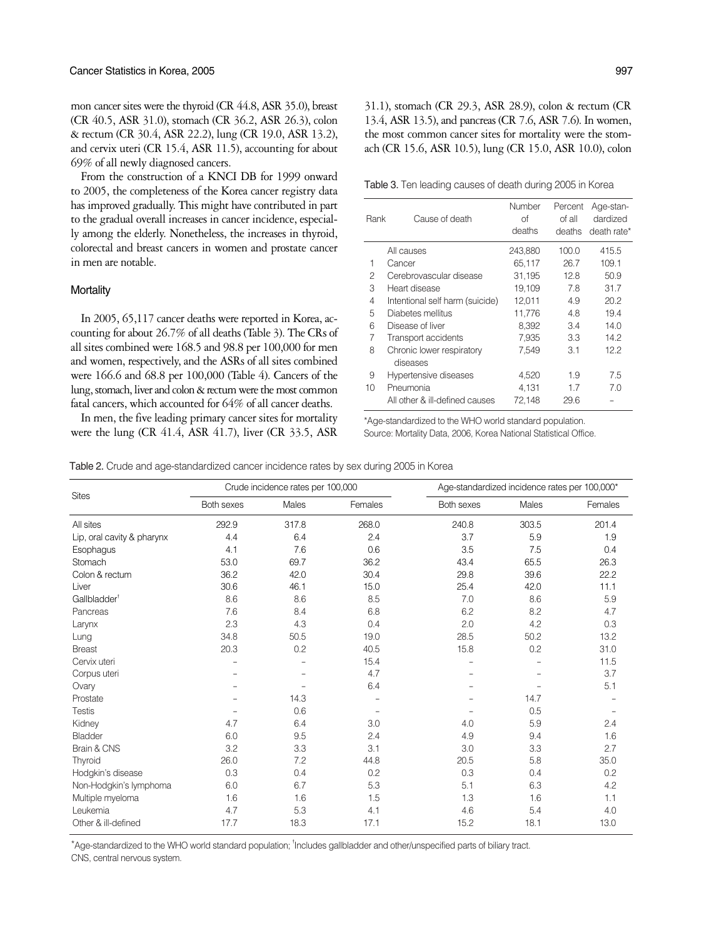mon cancer sites were the thyroid (CR 44.8, ASR 35.0), breast (CR 40.5, ASR 31.0), stomach (CR 36.2, ASR 26.3), colon & rectum (CR 30.4, ASR 22.2), lung (CR 19.0, ASR 13.2), and cervix uteri (CR 15.4, ASR 11.5), accounting for about 69% of all newly diagnosed cancers.

From the construction of a KNCI DB for 1999 onward to 2005, the completeness of the Korea cancer registry data has improved gradually. This might have contributed in part to the gradual overall increases in cancer incidence, especially among the elderly. Nonetheless, the increases in thyroid, colorectal and breast cancers in women and prostate cancer in men are notable.

#### **Mortality**

In 2005, 65,117 cancer deaths were reported in Korea, accounting for about 26.7% of all deaths (Table 3). The CRs of all sites combined were 168.5 and 98.8 per 100,000 for men and women, respectively, and the ASRs of all sites combined were 166.6 and 68.8 per 100,000 (Table 4). Cancers of the lung, stomach, liver and colon & rectum were the most common fatal cancers, which accounted for 64% of all cancer deaths.

In men, the five leading primary cancer sites for mortality were the lung (CR 41.4, ASR 41.7), liver (CR 33.5, ASR

31.1), stomach (CR 29.3, ASR 28.9), colon & rectum (CR 13.4, ASR 13.5), and pancreas (CR 7.6, ASR 7.6). In women, the most common cancer sites for mortality were the stomach (CR 15.6, ASR 10.5), lung (CR 15.0, ASR 10.0), colon

Table 3. Ten leading causes of death during 2005 in Korea

| Rank | Cause of death                        | Number<br>Ωf<br>deaths | Percent<br>of all<br>deaths | Age-stan-<br>dardized<br>death rate* |
|------|---------------------------------------|------------------------|-----------------------------|--------------------------------------|
|      | All causes                            | 243,880                | 100.0                       | 415.5                                |
| 1    | Cancer                                | 65.117                 | 26.7                        | 109.1                                |
| 2    | Cerebrovascular disease               | 31,195                 | 12.8                        | 50.9                                 |
| 3    | Heart disease                         | 19,109                 | 7.8                         | 31.7                                 |
| 4    | Intentional self harm (suicide)       | 12,011                 | 4.9                         | 20.2                                 |
| 5    | Diabetes mellitus                     | 11,776                 | 4.8                         | 19.4                                 |
| 6    | Disease of liver                      | 8,392                  | 3.4                         | 14.0                                 |
| 7    | Transport accidents                   | 7,935                  | 3.3                         | 14.2                                 |
| 8    | Chronic lower respiratory<br>diseases | 7,549                  | 3.1                         | 12.2                                 |
| 9    | Hypertensive diseases                 | 4,520                  | 1.9                         | 7.5                                  |
| 10   | Pneumonia                             | 4,131                  | 1.7                         | 7.0                                  |
|      | All other & ill-defined causes        | 72,148                 | 29.6                        |                                      |

\*Age-standardized to the WHO world standard population. Source: Mortality Data, 2006, Korea National Statistical Office.

|  |  |  |  |  | Table 2. Crude and age-standardized cancer incidence rates by sex during 2005 in Korea |  |  |  |  |  |  |
|--|--|--|--|--|----------------------------------------------------------------------------------------|--|--|--|--|--|--|
|  |  |  |  |  |                                                                                        |  |  |  |  |  |  |

Sites Crude incidence rates per 100,000<br>Both sexes Males Females Both sexes Age-standardized incidence rates per 100,000\* Both sexes Males Females All sites 292.9 317.8 268.0 240.8 303.5 201.4 Lip, oral cavity & pharynx 4.4 6.4 2.4 3.7 5.9 1.9 Esophagus 4.1 7.6 0.6 3.5 7.5 0.4 Stomach 53.0 69.7 36.2 43.4 65.5 26.3 Colon & rectum 36.2 42.0 30.4 29.8 39.6 22.2 Liver 30.6 46.1 15.0 25.4 42.0 11.1 **Gallbladder** 8.6 8.6 8.5 7.0 8.6 5.9 Pancreas 7.6 8.4 6.8 6.2 8.2 4.7 Larynx 2.3 4.3 0.4 2.0 4.2 0.3 Lung 34.8 50.5 19.0 28.5 50.2 13.2 Breast 20.3 0.2 40.5 15.8 0.2 31.0 Cervix uteri **11.5** - - 15.4 - 15.4 - 11.5  $\blacksquare$  Corpus uteri  $\blacksquare$   $\blacksquare$   $\blacksquare$   $\blacksquare$   $\blacksquare$   $\blacksquare$   $\blacksquare$   $\blacksquare$   $\blacksquare$   $\blacksquare$   $\blacksquare$   $\blacksquare$   $\blacksquare$   $\blacksquare$   $\blacksquare$   $\blacksquare$   $\blacksquare$   $\blacksquare$   $\blacksquare$   $\blacksquare$   $\blacksquare$   $\blacksquare$   $\blacksquare$   $\blacksquare$   $\blacksquare$   $\blacksquare$   $\blacksquare$   $\blacksquare$   $\blacksquare$ Ovary 2008 - 2008 - 2008 - 2008 - 2008 - 2008 - 2008 - 2014 - 2016 - 2017 - 2018 - 2019 - 2019 - 2019 - 2019 -Prostate **- 14.3** - 14.3 - 14.7 - 14.7 Testis - 0.6 - - 0.5 - Kidney 4.7 6.4 3.0 4.0 5.9 2.4 Bladder 6.0 9.5 2.4 4.9 9.4 1.6 Brain & CNS 3.2 3.3 3.1 3.0 3.3 2.7 Thyroid 26.0 7.2 44.8 20.5 5.8 35.0 Hodgkin's disease 0.3 0.4 0.2 0.3 0.4 0.2 Non-Hodgkin's lymphoma 6.0 6.7 5.3 5.1 6.3 4.2 Multiple myeloma **1.6** 1.6 1.6 1.5 1.3 1.6 1.1 Leukemia 4.7 5.3 4.1 4.6 5.4 4.0 Other & ill-defined 17.7 18.3 17.1 15.2 18.1 13.0

\*Age-standardized to the WHO world standard population; <sup>†</sup>Includes gallbladder and other/unspecified parts of biliary tract. CNS, central nervous system.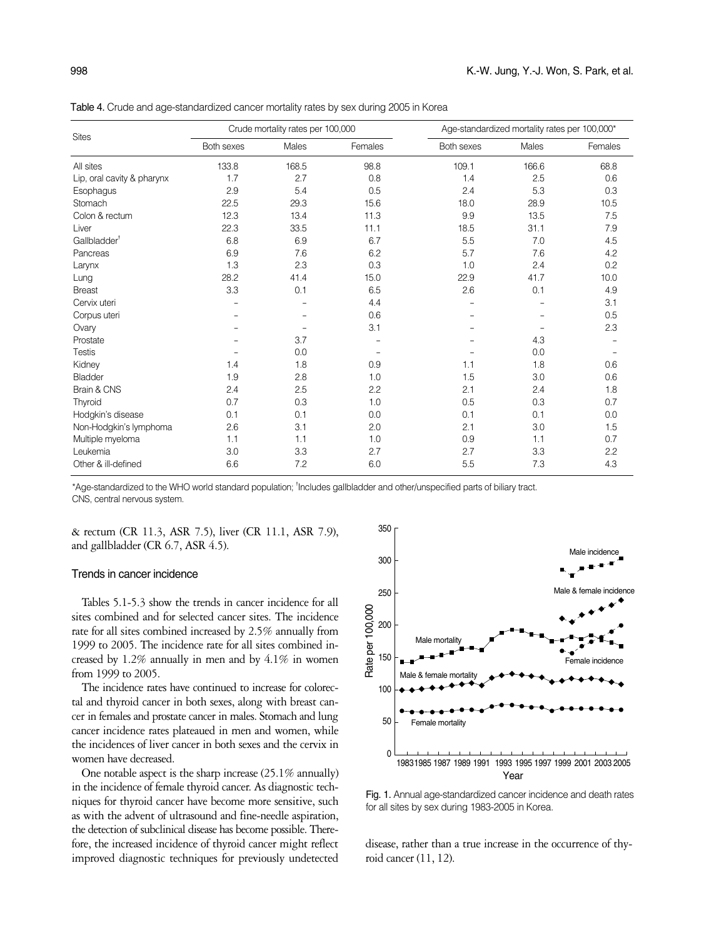Table 4. Crude and age-standardized cancer mortality rates by sex during 2005 in Korea

|                            |            | Crude mortality rates per 100,000 |         | Age-standardized mortality rates per 100,000* |       |         |  |  |
|----------------------------|------------|-----------------------------------|---------|-----------------------------------------------|-------|---------|--|--|
| <b>Sites</b>               | Both sexes | Males                             | Females | Both sexes                                    | Males | Females |  |  |
| All sites                  | 133.8      | 168.5                             | 98.8    | 109.1                                         | 166.6 | 68.8    |  |  |
| Lip, oral cavity & pharynx | 1.7        | 2.7                               | 0.8     | 1.4                                           | 2.5   | 0.6     |  |  |
| Esophagus                  | 2.9        | 5.4                               | 0.5     | 2.4                                           | 5.3   | 0.3     |  |  |
| Stomach                    | 22.5       | 29.3                              | 15.6    | 18.0                                          | 28.9  | 10.5    |  |  |
| Colon & rectum             | 12.3       | 13.4                              | 11.3    | 9.9                                           | 13.5  | 7.5     |  |  |
| Liver                      | 22.3       | 33.5                              | 11.1    | 18.5                                          | 31.1  | 7.9     |  |  |
| Gallbladder <sup>†</sup>   | 6.8        | 6.9                               | 6.7     | 5.5                                           | 7.0   | 4.5     |  |  |
| Pancreas                   | 6.9        | 7.6                               | 6.2     | 5.7                                           | 7.6   | 4.2     |  |  |
| Larynx                     | 1.3        | 2.3                               | 0.3     | 1.0                                           | 2.4   | 0.2     |  |  |
| Lung                       | 28.2       | 41.4                              | 15.0    | 22.9                                          | 41.7  | 10.0    |  |  |
| <b>Breast</b>              | 3.3        | 0.1                               | 6.5     | 2.6                                           | 0.1   | 4.9     |  |  |
| Cervix uteri               |            |                                   | 4.4     |                                               |       | 3.1     |  |  |
| Corpus uteri               |            |                                   | 0.6     |                                               |       | 0.5     |  |  |
| Ovary                      |            |                                   | 3.1     |                                               |       | 2.3     |  |  |
| Prostate                   |            | 3.7                               |         |                                               | 4.3   |         |  |  |
| <b>Testis</b>              |            | 0.0                               |         |                                               | 0.0   |         |  |  |
| Kidney                     | 1.4        | 1.8                               | 0.9     | 1.1                                           | 1.8   | 0.6     |  |  |
| Bladder                    | 1.9        | 2.8                               | 1.0     | 1.5                                           | 3.0   | 0.6     |  |  |
| Brain & CNS                | 2.4        | 2.5                               | 2.2     | 2.1                                           | 2.4   | 1.8     |  |  |
| Thyroid                    | 0.7        | 0.3                               | 1.0     | 0.5                                           | 0.3   | 0.7     |  |  |
| Hodgkin's disease          | 0.1        | 0.1                               | 0.0     | 0.1                                           | 0.1   | 0.0     |  |  |
| Non-Hodgkin's lymphoma     | 2.6        | 3.1                               | 2.0     | 2.1                                           | 3.0   | 1.5     |  |  |
| Multiple myeloma           | 1.1        | 1.1                               | 1.0     | 0.9                                           | 1.1   | 0.7     |  |  |
| Leukemia                   | 3.0        | 3.3                               | 2.7     | 2.7                                           | 3.3   | 2.2     |  |  |
| Other & ill-defined        | 6.6        | 7.2                               | 6.0     | 5.5                                           | 7.3   | 4.3     |  |  |

\*Age-standardized to the WHO world standard population; <sup>†</sup>Includes gallbladder and other/unspecified parts of biliary tract. CNS, central nervous system.

& rectum (CR 11.3, ASR 7.5), liver (CR 11.1, ASR 7.9), and gallbladder (CR 6.7, ASR 4.5).

## Trends in cancer incidence

Tables 5.1-5.3 show the trends in cancer incidence for all sites combined and for selected cancer sites. The incidence rate for all sites combined increased by 2.5% annually from 1999 to 2005. The incidence rate for all sites combined increased by 1.2% annually in men and by 4.1% in women from 1999 to 2005.

The incidence rates have continued to increase for colorectal and thyroid cancer in both sexes, along with breast cancer in females and prostate cancer in males. Stomach and lung cancer incidence rates plateaued in men and women, while the incidences of liver cancer in both sexes and the cervix in women have decreased.

One notable aspect is the sharp increase (25.1% annually) in the incidence of female thyroid cancer. As diagnostic techniques for thyroid cancer have become more sensitive, such as with the advent of ultrasound and fine-needle aspiration, the detection of subclinical disease has become possible. Therefore, the increased incidence of thyroid cancer might reflect improved diagnostic techniques for previously undetected



Fig. 1. Annual age-standardized cancer incidence and death rates

disease, rather than a true increase in the occurrence of thyroid cancer (11, 12).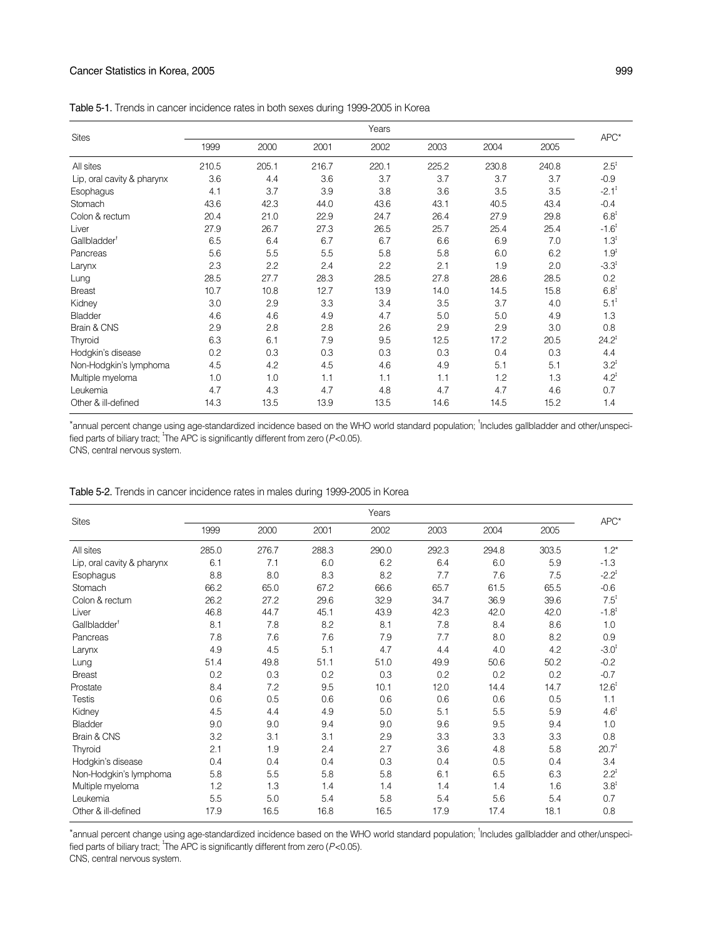## Cancer Statistics in Korea, 2005 999

| <b>Sites</b>               |       |       |       | Years |       |       |       | $APC^*$             |
|----------------------------|-------|-------|-------|-------|-------|-------|-------|---------------------|
|                            | 1999  | 2000  | 2001  | 2002  | 2003  | 2004  | 2005  |                     |
| All sites                  | 210.5 | 205.1 | 216.7 | 220.1 | 225.2 | 230.8 | 240.8 | $2.5^{\ddagger}$    |
| Lip, oral cavity & pharynx | 3.6   | 4.4   | 3.6   | 3.7   | 3.7   | 3.7   | 3.7   | $-0.9$              |
| Esophagus                  | 4.1   | 3.7   | 3.9   | 3.8   | 3.6   | 3.5   | 3.5   | $-2.1$ <sup>t</sup> |
| Stomach                    | 43.6  | 42.3  | 44.0  | 43.6  | 43.1  | 40.5  | 43.4  | $-0.4$              |
| Colon & rectum             | 20.4  | 21.0  | 22.9  | 24.7  | 26.4  | 27.9  | 29.8  | $6.8^{\ddagger}$    |
| Liver                      | 27.9  | 26.7  | 27.3  | 26.5  | 25.7  | 25.4  | 25.4  | $-1.6^{\ddagger}$   |
| Gallbladder <sup>t</sup>   | 6.5   | 6.4   | 6.7   | 6.7   | 6.6   | 6.9   | 7.0   | $1.3^{1}$           |
| Pancreas                   | 5.6   | 5.5   | 5.5   | 5.8   | 5.8   | 6.0   | 6.2   | $1.9^{1}$           |
| Larynx                     | 2.3   | 2.2   | 2.4   | 2.2   | 2.1   | 1.9   | 2.0   | $-3.3^{t}$          |
| Lung                       | 28.5  | 27.7  | 28.3  | 28.5  | 27.8  | 28.6  | 28.5  | 0.2                 |
| <b>Breast</b>              | 10.7  | 10.8  | 12.7  | 13.9  | 14.0  | 14.5  | 15.8  | $6.8^{\text{t}}$    |
| Kidney                     | 3.0   | 2.9   | 3.3   | 3.4   | 3.5   | 3.7   | 4.0   | $5.1^{\ddagger}$    |
| Bladder                    | 4.6   | 4.6   | 4.9   | 4.7   | 5.0   | 5.0   | 4.9   | 1.3                 |
| Brain & CNS                | 2.9   | 2.8   | 2.8   | 2.6   | 2.9   | 2.9   | 3.0   | 0.8                 |
| Thyroid                    | 6.3   | 6.1   | 7.9   | 9.5   | 12.5  | 17.2  | 20.5  | $24.2^{\ddagger}$   |
| Hodgkin's disease          | 0.2   | 0.3   | 0.3   | 0.3   | 0.3   | 0.4   | 0.3   | 4.4                 |
| Non-Hodgkin's lymphoma     | 4.5   | 4.2   | 4.5   | 4.6   | 4.9   | 5.1   | 5.1   | $3.2^{t}$           |
| Multiple myeloma           | 1.0   | 1.0   | 1.1   | 1.1   | 1.1   | 1.2   | 1.3   | $4.2^{\ddagger}$    |
| Leukemia                   | 4.7   | 4.3   | 4.7   | 4.8   | 4.7   | 4.7   | 4.6   | 0.7                 |
| Other & ill-defined        | 14.3  | 13.5  | 13.9  | 13.5  | 14.6  | 14.5  | 15.2  | 1.4                 |
|                            |       |       |       |       |       |       |       |                     |

\*annual percent change using age-standardized incidence based on the WHO world standard population; <sup>1</sup>Includes gallbladder and other/unspecified parts of biliary tract; <sup>†</sup>The APC is significantly different from zero (P<0.05). CNS, central nervous system.

| <b>Sites</b>               |       |       |       | Years |       |       |       | APC*              |  |
|----------------------------|-------|-------|-------|-------|-------|-------|-------|-------------------|--|
|                            | 1999  | 2000  | 2001  | 2002  | 2003  | 2004  | 2005  |                   |  |
| All sites                  | 285.0 | 276.7 | 288.3 | 290.0 | 292.3 | 294.8 | 303.5 | $1.2*$            |  |
| Lip, oral cavity & pharynx | 6.1   | 7.1   | 6.0   | 6.2   | 6.4   | 6.0   | 5.9   | $-1.3$            |  |
| Esophagus                  | 8.8   | 8.0   | 8.3   | 8.2   | 7.7   | 7.6   | 7.5   | $-2.2^{\ddagger}$ |  |
| Stomach                    | 66.2  | 65.0  | 67.2  | 66.6  | 65.7  | 61.5  | 65.5  | $-0.6$            |  |
| Colon & rectum             | 26.2  | 27.2  | 29.6  | 32.9  | 34.7  | 36.9  | 39.6  | $7.5^{\text{t}}$  |  |
| Liver                      | 46.8  | 44.7  | 45.1  | 43.9  | 42.3  | 42.0  | 42.0  | $-1.8^{\ddagger}$ |  |
| Gallbladder <sup>†</sup>   | 8.1   | 7.8   | 8.2   | 8.1   | 7.8   | 8.4   | 8.6   | 1.0               |  |
| Pancreas                   | 7.8   | 7.6   | 7.6   | 7.9   | 7.7   | 8.0   | 8.2   | 0.9               |  |
| Larynx                     | 4.9   | 4.5   | 5.1   | 4.7   | 4.4   | 4.0   | 4.2   | $-3.0^{\ddagger}$ |  |
| Lung                       | 51.4  | 49.8  | 51.1  | 51.0  | 49.9  | 50.6  | 50.2  | $-0.2$            |  |
| <b>Breast</b>              | 0.2   | 0.3   | 0.2   | 0.3   | 0.2   | 0.2   | 0.2   | $-0.7$            |  |
| Prostate                   | 8.4   | 7.2   | 9.5   | 10.1  | 12.0  | 14.4  | 14.7  | $12.6^{\ddagger}$ |  |
| <b>Testis</b>              | 0.6   | 0.5   | 0.6   | 0.6   | 0.6   | 0.6   | 0.5   | 1.1               |  |
| Kidney                     | 4.5   | 4.4   | 4.9   | 5.0   | 5.1   | 5.5   | 5.9   | $4.6^{\ddagger}$  |  |
| Bladder                    | 9.0   | 9.0   | 9.4   | 9.0   | 9.6   | 9.5   | 9.4   | 1.0               |  |
| Brain & CNS                | 3.2   | 3.1   | 3.1   | 2.9   | 3.3   | 3.3   | 3.3   | 0.8               |  |
| Thyroid                    | 2.1   | 1.9   | 2.4   | 2.7   | 3.6   | 4.8   | 5.8   | $20.7^{1}$        |  |
| Hodgkin's disease          | 0.4   | 0.4   | 0.4   | 0.3   | 0.4   | 0.5   | 0.4   | 3.4               |  |
| Non-Hodgkin's lymphoma     | 5.8   | 5.5   | 5.8   | 5.8   | 6.1   | 6.5   | 6.3   | $2.2^{\ddagger}$  |  |
| Multiple myeloma           | 1.2   | 1.3   | 1.4   | 1.4   | 1.4   | 1.4   | 1.6   | $3.8^{\ddagger}$  |  |
| Leukemia                   | 5.5   | 5.0   | 5.4   | 5.8   | 5.4   | 5.6   | 5.4   | 0.7               |  |
| Other & ill-defined        | 17.9  | 16.5  | 16.8  | 16.5  | 17.9  | 17.4  | 18.1  | 0.8               |  |

Table 5-2. Trends in cancer incidence rates in males during 1999-2005 in Korea

\*annual percent change using age-standardized incidence based on the WHO world standard population; <sup>1</sup>Includes gallbladder and other/unspecified parts of biliary tract; <sup>†</sup>The APC is significantly different from zero (P<0.05).

CNS, central nervous system.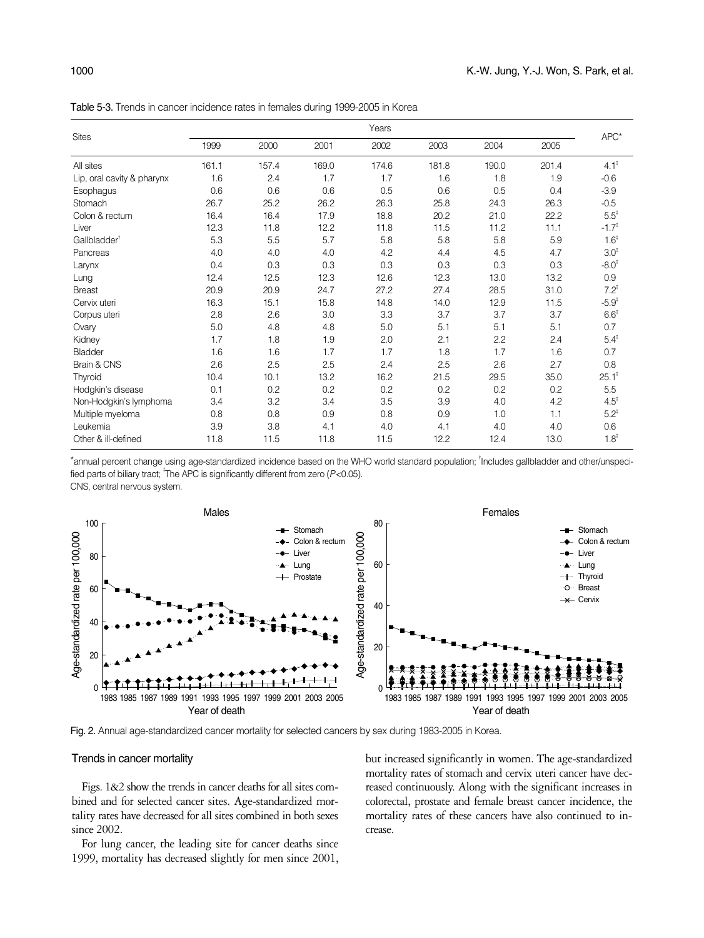Table 5-3. Trends in cancer incidence rates in females during 1999-2005 in Korea

|                            |       |       |       | Years |       |       |       |                   |  |
|----------------------------|-------|-------|-------|-------|-------|-------|-------|-------------------|--|
| <b>Sites</b>               | 1999  | 2000  | 2001  | 2002  | 2003  | 2004  | 2005  | APC*              |  |
| All sites                  | 161.1 | 157.4 | 169.0 | 174.6 | 181.8 | 190.0 | 201.4 | $4.1^{\ddagger}$  |  |
| Lip, oral cavity & pharynx | 1.6   | 2.4   | 1.7   | 1.7   | 1.6   | 1.8   | 1.9   | $-0.6$            |  |
| Esophagus                  | 0.6   | 0.6   | 0.6   | 0.5   | 0.6   | 0.5   | 0.4   | $-3.9$            |  |
| Stomach                    | 26.7  | 25.2  | 26.2  | 26.3  | 25.8  | 24.3  | 26.3  | $-0.5$            |  |
| Colon & rectum             | 16.4  | 16.4  | 17.9  | 18.8  | 20.2  | 21.0  | 22.2  | $5.5^{\ddagger}$  |  |
| Liver                      | 12.3  | 11.8  | 12.2  | 11.8  | 11.5  | 11.2  | 11.1  | $-1.7^{1}$        |  |
| Gallbladder <sup>†</sup>   | 5.3   | 5.5   | 5.7   | 5.8   | 5.8   | 5.8   | 5.9   | $1.6^{\ddagger}$  |  |
| Pancreas                   | 4.0   | 4.0   | 4.0   | 4.2   | 4.4   | 4.5   | 4.7   | 3.0 <sup>‡</sup>  |  |
| Larynx                     | 0.4   | 0.3   | 0.3   | 0.3   | 0.3   | 0.3   | 0.3   | $-8.0^{\ddagger}$ |  |
| Lung                       | 12.4  | 12.5  | 12.3  | 12.6  | 12.3  | 13.0  | 13.2  | 0.9               |  |
| <b>Breast</b>              | 20.9  | 20.9  | 24.7  | 27.2  | 27.4  | 28.5  | 31.0  | $7.2^{\ddagger}$  |  |
| Cervix uteri               | 16.3  | 15.1  | 15.8  | 14.8  | 14.0  | 12.9  | 11.5  | $-5.9^{\ddagger}$ |  |
| Corpus uteri               | 2.8   | 2.6   | 3.0   | 3.3   | 3.7   | 3.7   | 3.7   | $6.6^{\ddagger}$  |  |
| Ovary                      | 5.0   | 4.8   | 4.8   | 5.0   | 5.1   | 5.1   | 5.1   | 0.7               |  |
| Kidney                     | 1.7   | 1.8   | 1.9   | 2.0   | 2.1   | 2.2   | 2.4   | $5.4^{\ddagger}$  |  |
| <b>Bladder</b>             | 1.6   | 1.6   | 1.7   | 1.7   | 1.8   | 1.7   | 1.6   | 0.7               |  |
| Brain & CNS                | 2.6   | 2.5   | 2.5   | 2.4   | 2.5   | 2.6   | 2.7   | 0.8               |  |
| Thyroid                    | 10.4  | 10.1  | 13.2  | 16.2  | 21.5  | 29.5  | 35.0  | $25.1^{\ddagger}$ |  |
| Hodgkin's disease          | 0.1   | 0.2   | 0.2   | 0.2   | 0.2   | 0.2   | 0.2   | 5.5               |  |
| Non-Hodgkin's lymphoma     | 3.4   | 3.2   | 3.4   | 3.5   | 3.9   | 4.0   | 4.2   | $4.5^{\ddagger}$  |  |
| Multiple myeloma           | 0.8   | 0.8   | 0.9   | 0.8   | 0.9   | 1.0   | 1.1   | $5.2^{\ddagger}$  |  |
| Leukemia                   | 3.9   | 3.8   | 4.1   | 4.0   | 4.1   | 4.0   | 4.0   | 0.6               |  |
| Other & ill-defined        | 11.8  | 11.5  | 11.8  | 11.5  | 12.2  | 12.4  | 13.0  | $1.8^{\ddagger}$  |  |

\*annual percent change using age-standardized incidence based on the WHO world standard population; <sup>1</sup>Includes gallbladder and other/unspecified parts of biliary tract; <sup>†</sup>The APC is significantly different from zero (P<0.05). CNS, central nervous system.



#### Trends in cancer mortality

Figs. 1&2 show the trends in cancer deaths for all sites combined and for selected cancer sites. Age-standardized mortality rates have decreased for all sites combined in both sexes since 2002.

For lung cancer, the leading site for cancer deaths since 1999, mortality has decreased slightly for men since 2001, but increased significantly in women. The age-standardized mortality rates of stomach and cervix uteri cancer have decreased continuously. Along with the significant increases in colorectal, prostate and female breast cancer incidence, the mortality rates of these cancers have also continued to increase.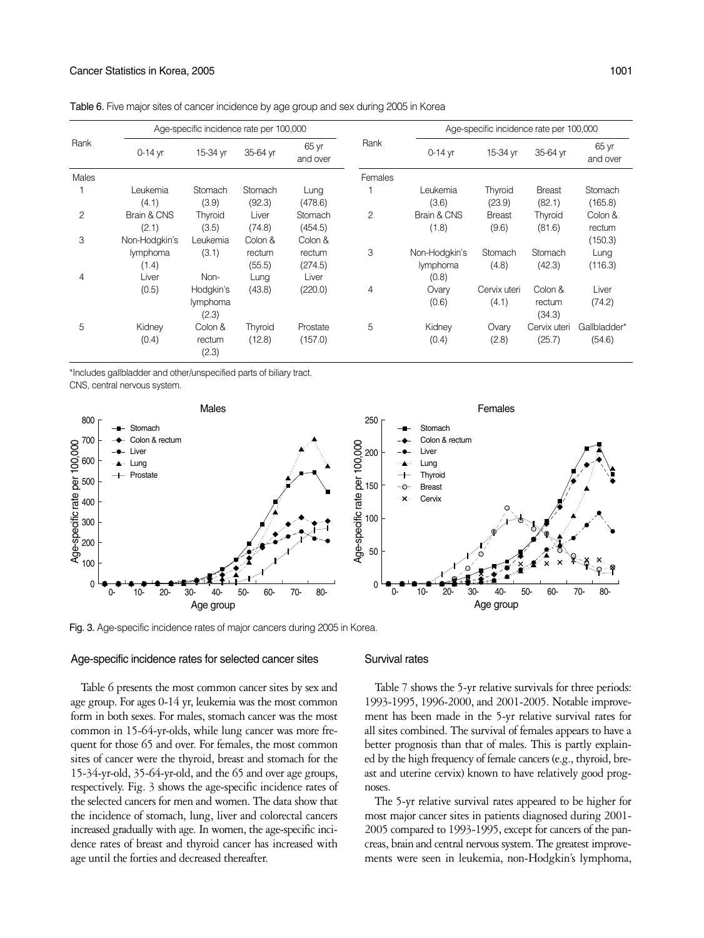| Rank  |                 | Age-specific incidence rate per 100,000 |          |                   |         | Age-specific incidence rate per 100,000 |               |                  |                   |  |  |
|-------|-----------------|-----------------------------------------|----------|-------------------|---------|-----------------------------------------|---------------|------------------|-------------------|--|--|
|       | $0-14$ yr       | 15-34 yr                                | 35-64 yr | 65 yr<br>and over | Rank    | $0-14$ yr                               | 15-34 yr      | 35-64 yr         | 65 yr<br>and over |  |  |
| Males |                 |                                         |          |                   | Females |                                         |               |                  |                   |  |  |
|       | Leukemia        | Stomach                                 | Stomach  | Lung              |         | Leukemia                                | Thyroid       | <b>Breast</b>    | Stomach           |  |  |
|       | (4.1)           | (3.9)                                   | (92.3)   | (478.6)           |         | (3.6)                                   | (23.9)        | (82.1)           | (165.8)           |  |  |
| 2     | Brain & CNS     | Thyroid                                 | Liver    | Stomach           | 2       | Brain & CNS                             | <b>Breast</b> | Thyroid          | Colon &           |  |  |
|       | (2.1)           | (3.5)                                   | (74.8)   | (454.5)           |         | (1.8)                                   | (9.6)         | (81.6)           | rectum            |  |  |
| 3     | Non-Hodgkin's   | Leukemia                                | Colon &  | Colon &           |         |                                         |               |                  | (150.3)           |  |  |
|       | <i>lymphoma</i> | (3.1)                                   | rectum   | rectum            | 3       | Non-Hodgkin's                           | Stomach       | Stomach          | Lung              |  |  |
|       | (1.4)           |                                         | (55.5)   | (274.5)           |         | <i>lymphoma</i>                         | (4.8)         | (42.3)           | (116.3)           |  |  |
| 4     | Liver           | Non-                                    | Lung     | Liver             |         | (0.8)                                   |               |                  |                   |  |  |
|       | (0.5)           | Hodgkin's                               | (43.8)   | (220.0)           | 4       | Ovary                                   | Cervix uteri  | Colon &          | Liver             |  |  |
|       |                 | lymphoma<br>(2.3)                       |          |                   |         | (0.6)                                   | (4.1)         | rectum<br>(34.3) | (74.2)            |  |  |
| 5     | Kidney          | Colon &                                 | Thyroid  | Prostate          | 5       | Kidney                                  | Ovary         | Cervix uteri     | Gallbladder*      |  |  |
|       | (0.4)           | rectum<br>(2.3)                         | (12.8)   | (157.0)           |         | (0.4)                                   | (2.8)         | (25.7)           | (54.6)            |  |  |

Table 6. Five major sites of cancer incidence by age group and sex during 2005 in Korea

\*Includes gallbladder and other/unspecified parts of biliary tract. CNS, central nervous system.



#### Age-specific incidence rates for selected cancer sites

#### Survival rates

Table 6 presents the most common cancer sites by sex and age group. For ages 0-14 yr, leukemia was the most common form in both sexes. For males, stomach cancer was the most common in 15-64-yr-olds, while lung cancer was more frequent for those 65 and over. For females, the most common sites of cancer were the thyroid, breast and stomach for the 15-34-yr-old, 35-64-yr-old, and the 65 and over age groups, respectively. Fig. 3 shows the age-specific incidence rates of the selected cancers for men and women. The data show that the incidence of stomach, lung, liver and colorectal cancers increased gradually with age. In women, the age-specific incidence rates of breast and thyroid cancer has increased with age until the forties and decreased thereafter.

Table 7 shows the 5-yr relative survivals for three periods: 1993-1995, 1996-2000, and 2001-2005. Notable improvement has been made in the 5-yr relative survival rates for all sites combined. The survival of females appears to have a better prognosis than that of males. This is partly explained by the high frequency of female cancers (e.g., thyroid, breast and uterine cervix) known to have relatively good prognoses.

The 5-yr relative survival rates appeared to be higher for most major cancer sites in patients diagnosed during 2001- 2005 compared to 1993-1995, except for cancers of the pancreas, brain and central nervous system. The greatest improvements were seen in leukemia, non-Hodgkin's lymphoma,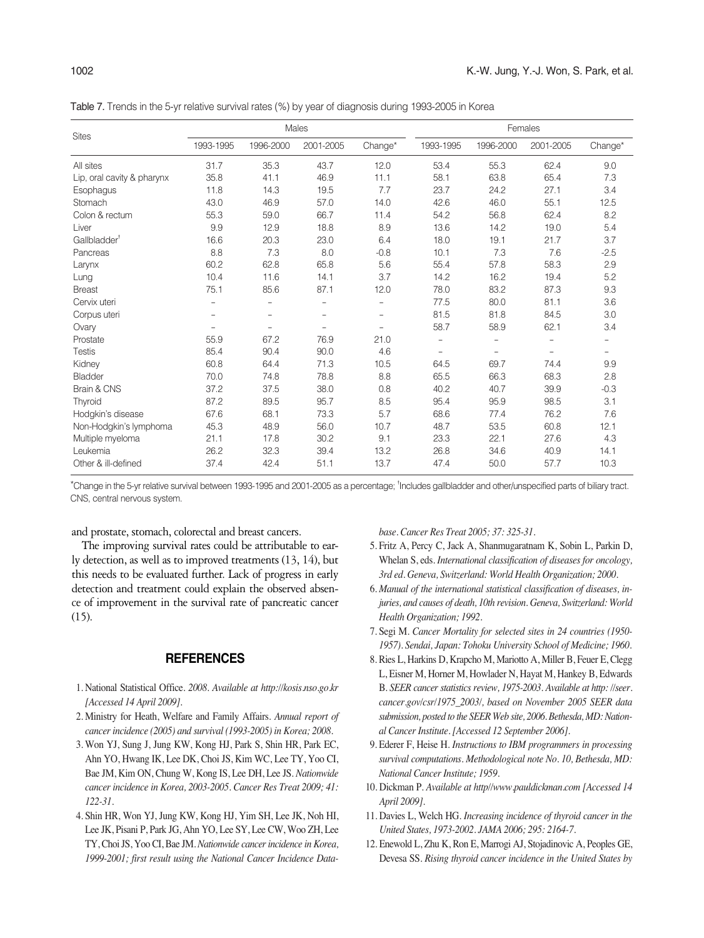Table 7. Trends in the 5-yr relative survival rates (%) by year of diagnosis during 1993-2005 in Korea

|                            |                          | Males                    |                          |                          |                          | Females                  |                          |                          |  |  |
|----------------------------|--------------------------|--------------------------|--------------------------|--------------------------|--------------------------|--------------------------|--------------------------|--------------------------|--|--|
| <b>Sites</b>               | 1993-1995                | 1996-2000                | 2001-2005                | $Change*$                | 1993-1995                | 1996-2000                | 2001-2005                | Change*                  |  |  |
| All sites                  | 31.7                     | 35.3                     | 43.7                     | 12.0                     | 53.4                     | 55.3                     | 62.4                     | 9.0                      |  |  |
| Lip, oral cavity & pharynx | 35.8                     | 41.1                     | 46.9                     | 11.1                     | 58.1                     | 63.8                     | 65.4                     | 7.3                      |  |  |
| Esophagus                  | 11.8                     | 14.3                     | 19.5                     | 7.7                      | 23.7                     | 24.2                     | 27.1                     | 3.4                      |  |  |
| Stomach                    | 43.0                     | 46.9                     | 57.0                     | 14.0                     | 42.6                     | 46.0                     | 55.1                     | 12.5                     |  |  |
| Colon & rectum             | 55.3                     | 59.0                     | 66.7                     | 11.4                     | 54.2                     | 56.8                     | 62.4                     | 8.2                      |  |  |
| Liver                      | 9.9                      | 12.9                     | 18.8                     | 8.9                      | 13.6                     | 14.2                     | 19.0                     | 5.4                      |  |  |
| Gallbladder <sup>†</sup>   | 16.6                     | 20.3                     | 23.0                     | 6.4                      | 18.0                     | 19.1                     | 21.7                     | 3.7                      |  |  |
| Pancreas                   | 8.8                      | 7.3                      | 8.0                      | $-0.8$                   | 10.1                     | 7.3                      | 7.6                      | $-2.5$                   |  |  |
| Larynx                     | 60.2                     | 62.8                     | 65.8                     | 5.6                      | 55.4                     | 57.8                     | 58.3                     | 2.9                      |  |  |
| Lung                       | 10.4                     | 11.6                     | 14.1                     | 3.7                      | 14.2                     | 16.2                     | 19.4                     | 5.2                      |  |  |
| <b>Breast</b>              | 75.1                     | 85.6                     | 87.1                     | 12.0                     | 78.0                     | 83.2                     | 87.3                     | 9.3                      |  |  |
| Cervix uteri               | $\overline{\phantom{0}}$ | $\overline{\phantom{0}}$ | $\overline{\phantom{0}}$ | $\overline{\phantom{a}}$ | 77.5                     | 80.0                     | 81.1                     | 3.6                      |  |  |
| Corpus uteri               | $\overline{a}$           | $\overline{\phantom{0}}$ | $\overline{a}$           | $\overline{a}$           | 81.5                     | 81.8                     | 84.5                     | 3.0                      |  |  |
| Ovary                      | $\overline{\phantom{a}}$ |                          | $\overline{a}$           | $\overline{\phantom{0}}$ | 58.7                     | 58.9                     | 62.1                     | 3.4                      |  |  |
| Prostate                   | 55.9                     | 67.2                     | 76.9                     | 21.0                     | $\overline{\phantom{a}}$ | $\overline{\phantom{0}}$ |                          |                          |  |  |
| <b>Testis</b>              | 85.4                     | 90.4                     | 90.0                     | 4.6                      | $\overline{\phantom{0}}$ | $\qquad \qquad -$        | $\overline{\phantom{0}}$ | $\overline{\phantom{0}}$ |  |  |
| Kidney                     | 60.8                     | 64.4                     | 71.3                     | 10.5                     | 64.5                     | 69.7                     | 74.4                     | 9.9                      |  |  |
| Bladder                    | 70.0                     | 74.8                     | 78.8                     | 8.8                      | 65.5                     | 66.3                     | 68.3                     | 2.8                      |  |  |
| Brain & CNS                | 37.2                     | 37.5                     | 38.0                     | 0.8                      | 40.2                     | 40.7                     | 39.9                     | $-0.3$                   |  |  |
| Thyroid                    | 87.2                     | 89.5                     | 95.7                     | 8.5                      | 95.4                     | 95.9                     | 98.5                     | 3.1                      |  |  |
| Hodgkin's disease          | 67.6                     | 68.1                     | 73.3                     | 5.7                      | 68.6                     | 77.4                     | 76.2                     | 7.6                      |  |  |
| Non-Hodgkin's lymphoma     | 45.3                     | 48.9                     | 56.0                     | 10.7                     | 48.7                     | 53.5                     | 60.8                     | 12.1                     |  |  |
| Multiple myeloma           | 21.1                     | 17.8                     | 30.2                     | 9.1                      | 23.3                     | 22.1                     | 27.6                     | 4.3                      |  |  |
| Leukemia                   | 26.2                     | 32.3                     | 39.4                     | 13.2                     | 26.8                     | 34.6                     | 40.9                     | 14.1                     |  |  |
| Other & ill-defined        | 37.4                     | 42.4                     | 51.1                     | 13.7                     | 47.4                     | 50.0                     | 57.7                     | 10.3                     |  |  |

\*Change in the 5-yr relative survival between 1993-1995 and 2001-2005 as a percentage; � Includes gallbladder and other/unspecified parts of biliary tract. CNS, central nervous system.

and prostate, stomach, colorectal and breast cancers.

The improving survival rates could be attributable to early detection, as well as to improved treatments (13, 14), but this needs to be evaluated further. Lack of progress in early detection and treatment could explain the observed absence of improvement in the survival rate of pancreatic cancer (15).

## **REFERENCES**

- 1. National Statistical Office. *2008. Available at http://kosis.nso.go.kr [Accessed 14 April 2009].*
- 2. Ministry for Heath, Welfare and Family Affairs. *Annual report of cancer incidence (2005) and survival (1993-2005) in Korea; 2008.*
- 3. Won YJ, Sung J, Jung KW, Kong HJ, Park S, Shin HR, Park EC, Ahn YO, Hwang IK, Lee DK, Choi JS, Kim WC, Lee TY, Yoo CI, Bae JM, Kim ON, Chung W, Kong IS, Lee DH, Lee JS. *Nationwide cancer incidence in Korea, 2003-2005. Cancer Res Treat 2009; 41: 122-31.*
- 4. Shin HR, Won YJ, Jung KW, Kong HJ, Yim SH, Lee JK, Noh HI, Lee JK, Pisani P, Park JG, Ahn YO, Lee SY, Lee CW, Woo ZH, Lee TY, Choi JS, Yoo CI, Bae JM. *Nationwide cancer incidence in Korea, 1999-2001; first result using the National Cancer Incidence Data-*

*base. Cancer Res Treat 2005; 37: 325-31.*

- 5. Fritz A, Percy C, Jack A, Shanmugaratnam K, Sobin L, Parkin D, Whelan S, eds. *International classification of diseases for oncology, 3rd ed. Geneva, Switzerland: World Health Organization; 2000.*
- 6. *Manual of the international statistical classification of diseases, injuries, and causes of death, 10th revision. Geneva, Switzerland: World Health Organization; 1992.*
- 7. Segi M. *Cancer Mortality for selected sites in 24 countries (1950- 1957). Sendai, Japan: Tohoku University School of Medicine; 1960.*
- 8. Ries L, Harkins D, Krapcho M, Mariotto A, Miller B, Feuer E, Clegg L, Eisner M, Horner M, Howlader N, Hayat M, Hankey B, Edwards B. *SEER cancer statistics review, 1975-2003. Available at http: //seer. cancer.gov/csr/1975\_2003/, based on November 2005 SEER data submission, posted to the SEER Web site, 2006. Bethesda, MD: National Cancer Institute. [Accessed 12 September 2006].*
- 9. Ederer F, Heise H. *Instructions to IBM programmers in processing survival computations. Methodological note No. 10, Bethesda, MD: National Cancer Institute; 1959.*
- 10. Dickman P. *Available at http//www.pauldickman.com [Accessed 14 April 2009].*
- 11. Davies L, Welch HG. *Increasing incidence of thyroid cancer in the United States, 1973-2002. JAMA 2006; 295: 2164-7.*
- 12. Enewold L, Zhu K, Ron E, Marrogi AJ, Stojadinovic A, Peoples GE, Devesa SS. *Rising thyroid cancer incidence in the United States by*